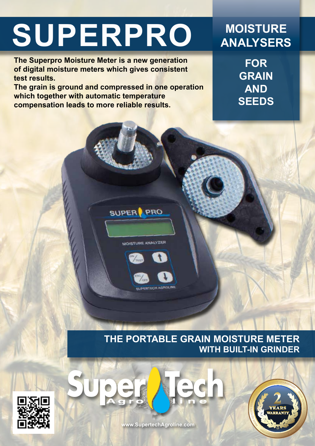# **SUPERPRO MOISTURE**

**The Superpro Moisture Meter is a new generation of digital moisture meters which gives consistent test results.** 

**The grain is ground and compressed in one operation which together with automatic temperature compensation leads to more reliable results.**

SUPER PRO

MOISTURE ANALYZER

# **ANALYSERS**

**FOR GRAIN AND SEEDS**







**www.SupertechAgroline.com**